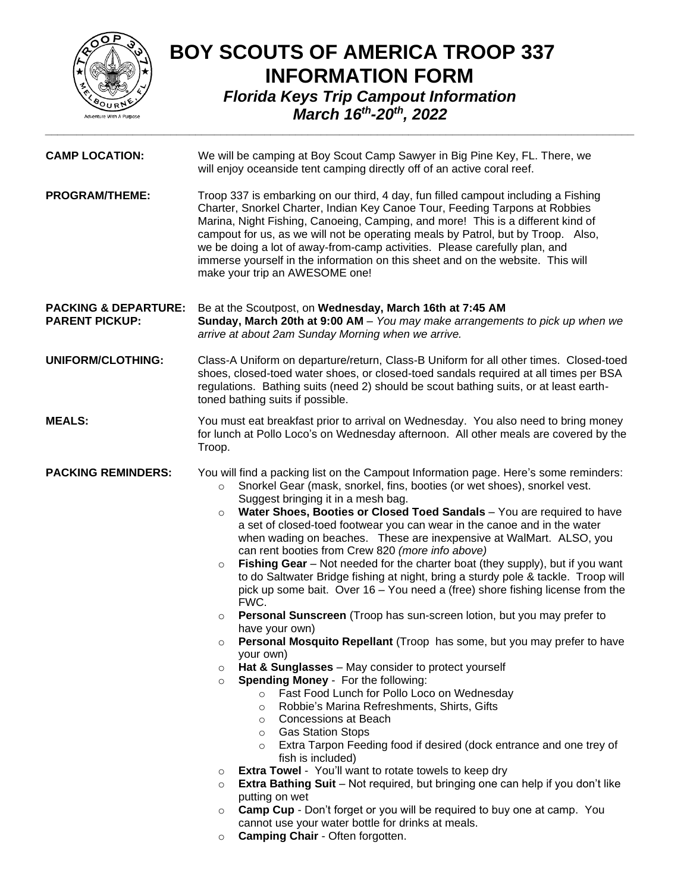

## **BOY SCOUTS OF AMERICA TROOP 337 INFORMATION FORM** *Florida Keys Trip Campout Information March 16th -20th, 2022 \_\_\_\_\_\_\_\_\_\_\_\_\_\_\_\_\_\_\_\_\_\_\_\_\_\_\_\_\_\_\_\_\_\_\_\_\_\_\_\_\_\_\_\_\_\_\_\_\_\_\_\_\_\_\_\_\_\_\_\_\_\_\_\_\_\_\_\_\_\_\_\_\_\_\_\_\_\_\_\_\_\_\_\_\_\_\_\_\_\_\_\_\_\_*

| <b>CAMP LOCATION:</b>                                    | We will be camping at Boy Scout Camp Sawyer in Big Pine Key, FL. There, we<br>will enjoy oceanside tent camping directly off of an active coral reef.                                                                                                                                                                                                                                                                                                                                                                                                                                                                                                                                                                                                                                                                                                                                                                                                                                                                                                                                                                                                                                                                                                                                                                                                                                                                                                                                                                                                                                                                                                                                                                                                                                                                                       |
|----------------------------------------------------------|---------------------------------------------------------------------------------------------------------------------------------------------------------------------------------------------------------------------------------------------------------------------------------------------------------------------------------------------------------------------------------------------------------------------------------------------------------------------------------------------------------------------------------------------------------------------------------------------------------------------------------------------------------------------------------------------------------------------------------------------------------------------------------------------------------------------------------------------------------------------------------------------------------------------------------------------------------------------------------------------------------------------------------------------------------------------------------------------------------------------------------------------------------------------------------------------------------------------------------------------------------------------------------------------------------------------------------------------------------------------------------------------------------------------------------------------------------------------------------------------------------------------------------------------------------------------------------------------------------------------------------------------------------------------------------------------------------------------------------------------------------------------------------------------------------------------------------------------|
| <b>PROGRAM/THEME:</b>                                    | Troop 337 is embarking on our third, 4 day, fun filled campout including a Fishing<br>Charter, Snorkel Charter, Indian Key Canoe Tour, Feeding Tarpons at Robbies<br>Marina, Night Fishing, Canoeing, Camping, and more! This is a different kind of<br>campout for us, as we will not be operating meals by Patrol, but by Troop. Also,<br>we be doing a lot of away-from-camp activities. Please carefully plan, and<br>immerse yourself in the information on this sheet and on the website. This will<br>make your trip an AWESOME one!                                                                                                                                                                                                                                                                                                                                                                                                                                                                                                                                                                                                                                                                                                                                                                                                                                                                                                                                                                                                                                                                                                                                                                                                                                                                                                 |
| <b>PACKING &amp; DEPARTURE:</b><br><b>PARENT PICKUP:</b> | Be at the Scoutpost, on Wednesday, March 16th at 7:45 AM<br>Sunday, March 20th at 9:00 AM - You may make arrangements to pick up when we<br>arrive at about 2am Sunday Morning when we arrive.                                                                                                                                                                                                                                                                                                                                                                                                                                                                                                                                                                                                                                                                                                                                                                                                                                                                                                                                                                                                                                                                                                                                                                                                                                                                                                                                                                                                                                                                                                                                                                                                                                              |
| UNIFORM/CLOTHING:                                        | Class-A Uniform on departure/return, Class-B Uniform for all other times. Closed-toed<br>shoes, closed-toed water shoes, or closed-toed sandals required at all times per BSA<br>regulations. Bathing suits (need 2) should be scout bathing suits, or at least earth-<br>toned bathing suits if possible.                                                                                                                                                                                                                                                                                                                                                                                                                                                                                                                                                                                                                                                                                                                                                                                                                                                                                                                                                                                                                                                                                                                                                                                                                                                                                                                                                                                                                                                                                                                                  |
| <b>MEALS:</b>                                            | You must eat breakfast prior to arrival on Wednesday. You also need to bring money<br>for lunch at Pollo Loco's on Wednesday afternoon. All other meals are covered by the<br>Troop.                                                                                                                                                                                                                                                                                                                                                                                                                                                                                                                                                                                                                                                                                                                                                                                                                                                                                                                                                                                                                                                                                                                                                                                                                                                                                                                                                                                                                                                                                                                                                                                                                                                        |
| <b>PACKING REMINDERS:</b>                                | You will find a packing list on the Campout Information page. Here's some reminders:<br>Snorkel Gear (mask, snorkel, fins, booties (or wet shoes), snorkel vest.<br>$\circ$<br>Suggest bringing it in a mesh bag.<br>Water Shoes, Booties or Closed Toed Sandals - You are required to have<br>$\circ$<br>a set of closed-toed footwear you can wear in the canoe and in the water<br>when wading on beaches. These are inexpensive at WalMart. ALSO, you<br>can rent booties from Crew 820 (more info above)<br>Fishing Gear - Not needed for the charter boat (they supply), but if you want<br>$\circ$<br>to do Saltwater Bridge fishing at night, bring a sturdy pole & tackle. Troop will<br>pick up some bait. Over 16 - You need a (free) shore fishing license from the<br>FWC.<br>Personal Sunscreen (Troop has sun-screen lotion, but you may prefer to<br>$\circ$<br>have your own)<br>Personal Mosquito Repellant (Troop has some, but you may prefer to have<br>$\circ$<br>your own)<br>Hat & Sunglasses - May consider to protect yourself<br>$\circ$<br><b>Spending Money - For the following:</b><br>$\circ$<br>Fast Food Lunch for Pollo Loco on Wednesday<br>$\circ$<br>Robbie's Marina Refreshments, Shirts, Gifts<br>$\circ$<br><b>Concessions at Beach</b><br>$\circ$<br><b>Gas Station Stops</b><br>$\circ$<br>Extra Tarpon Feeding food if desired (dock entrance and one trey of<br>$\circ$<br>fish is included)<br><b>Extra Towel</b> - You'll want to rotate towels to keep dry<br>$\circ$<br><b>Extra Bathing Suit</b> – Not required, but bringing one can help if you don't like<br>$\circ$<br>putting on wet<br><b>Camp Cup</b> - Don't forget or you will be required to buy one at camp. You<br>$\circ$<br>cannot use your water bottle for drinks at meals.<br>Camping Chair - Often forgotten.<br>$\circ$ |